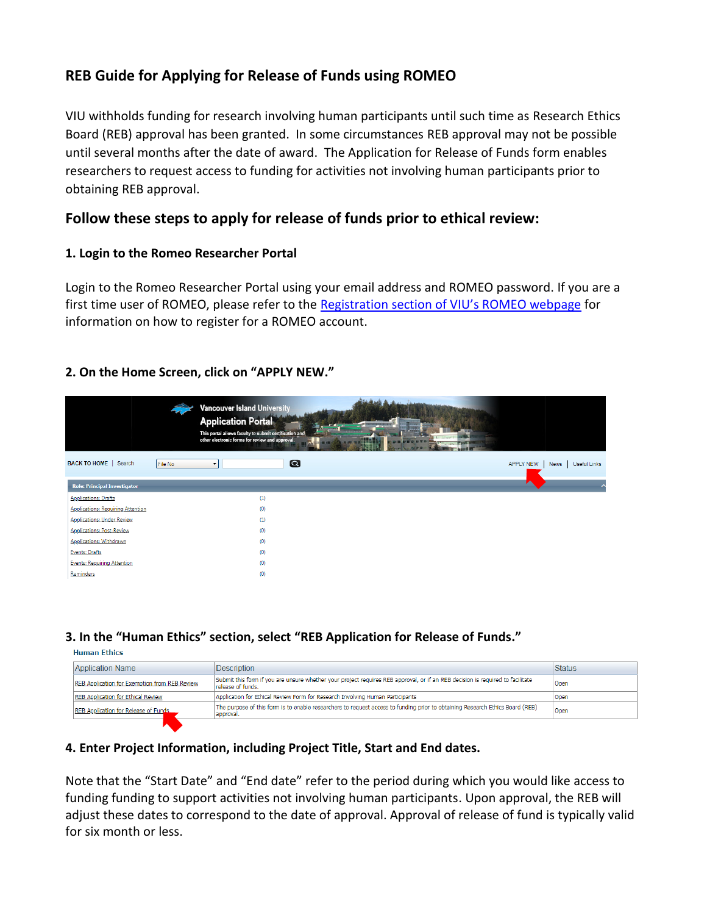# **REB Guide for Applying for Release of Funds using ROMEO**

VIU withholds funding for research involving human participants until such time as Research Ethics Board (REB) approval has been granted. In some circumstances REB approval may not be possible until several months after the date of award. The Application for Release of Funds form enables researchers to request access to funding for activities not involving human participants prior to obtaining REB approval.

# **Follow these steps to apply for release of funds prior to ethical review:**

## **1. Login to the Romeo Researcher Portal**

Login to the Romeo Researcher Portal using your email address and ROMEO password. If you are a first time user of ROMEO, please refer to the Registration [section of VIU's ROMEO webpage](https://research.viu.ca/romeo) for information on how to register for a ROMEO account.

# **2. On the Home Screen, click on "APPLY NEW."**

|                                          | <b>Vancouver Island University</b><br><b>Application Portal</b><br>This portal allows faculty to submit certification and<br>other electronic forms for review and approval. | ٣H<br><b>Company Company</b> |                  |                             |
|------------------------------------------|------------------------------------------------------------------------------------------------------------------------------------------------------------------------------|------------------------------|------------------|-----------------------------|
| BACK TO HOME   Search<br>File No         | $\boldsymbol{\Omega}$<br>$\overline{\phantom{a}}$                                                                                                                            |                              | <b>APPLY NEW</b> | Useful Links<br><b>News</b> |
| Role: Principal Investigator             |                                                                                                                                                                              |                              | ▲                |                             |
| <b>Applications: Drafts</b>              | (1)                                                                                                                                                                          |                              |                  |                             |
| <b>Applications: Requiring Attention</b> | (0)                                                                                                                                                                          |                              |                  |                             |
| <b>Applications: Under Review</b>        | (1)                                                                                                                                                                          |                              |                  |                             |
| <b>Applications: Post-Review</b>         | (0)                                                                                                                                                                          |                              |                  |                             |
| <b>Applications: Withdrawn</b>           | (0)                                                                                                                                                                          |                              |                  |                             |
| Events: Drafts                           | (0)                                                                                                                                                                          |                              |                  |                             |
| Events: Requiring Attention              | (0)                                                                                                                                                                          |                              |                  |                             |
| Reminders                                | (0)                                                                                                                                                                          |                              |                  |                             |

### **3. In the "Human Ethics" section, select "REB Application for Release of Funds."**

**Human Ethics** 

| <b>Application Name</b>                       | Description                                                                                                                                         | <b>Status</b> |
|-----------------------------------------------|-----------------------------------------------------------------------------------------------------------------------------------------------------|---------------|
| REB Application for Exemption from REB Review | Submit this form if you are unsure whether your project requires REB approval, or if an REB decision is required to facilitate<br>release of funds. | Open          |
| REB Application for Ethical Review            | Application for Ethical Review Form for Research Involving Human Participants                                                                       | Open          |
| REB Application for Release of Funds          | The purpose of this form is to enable researchers to request access to funding prior to obtaining Research Ethics Board (REB)<br>approval.          | Open          |
|                                               |                                                                                                                                                     |               |

### **4. Enter Project Information, including Project Title, Start and End dates.**

Note that the "Start Date" and "End date" refer to the period during which you would like access to funding funding to support activities not involving human participants. Upon approval, the REB will adjust these dates to correspond to the date of approval. Approval of release of fund is typically valid for six month or less.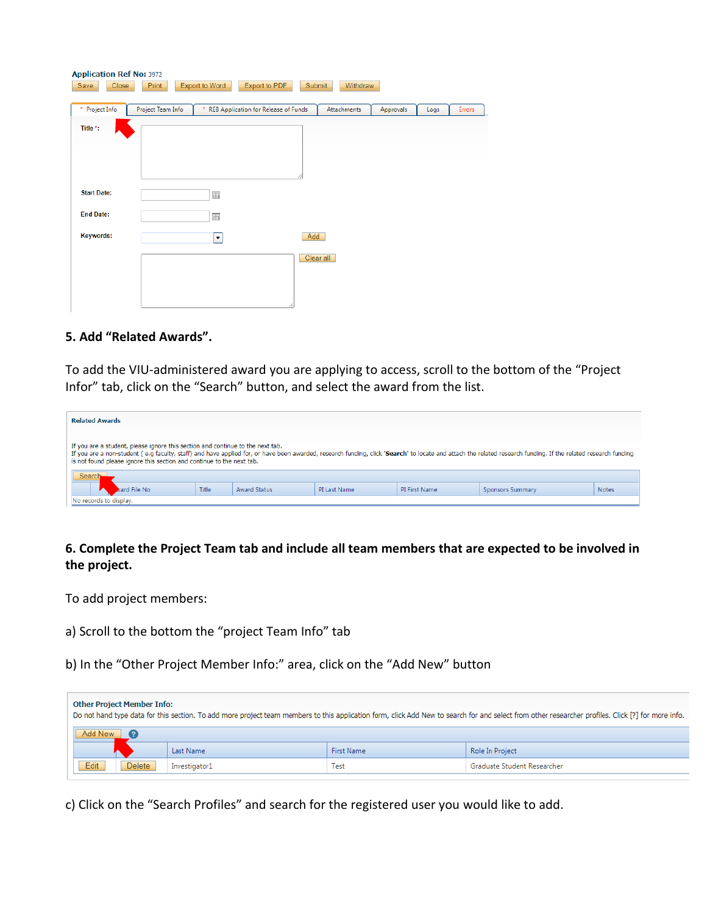| <b>Application Ref No: 3972</b><br>Save<br>Close | <b>Print</b>      | Export to Word           | Export to PDF                        | Submit<br>Withdraw |           |      |        |
|--------------------------------------------------|-------------------|--------------------------|--------------------------------------|--------------------|-----------|------|--------|
| * Project Info                                   | Project Team Info |                          | REB Application for Release of Funds | Attachments        | Approvals | Logs | Errors |
| Title *:                                         |                   |                          |                                      |                    |           |      |        |
| <b>Start Date:</b>                               |                   | 画                        |                                      |                    |           |      |        |
| <b>End Date:</b>                                 |                   | 画                        |                                      |                    |           |      |        |
| <b>Keywords:</b>                                 |                   | $\overline{\phantom{a}}$ |                                      | Add                |           |      |        |
|                                                  |                   |                          |                                      | Clear all          |           |      |        |

#### **5. Add "Related Awards".**

To add the VIU-administered award you are applying to access, scroll to the bottom of the "Project Infor" tab, click on the "Search" button, and select the award from the list.

| <b>Related Awards</b>                                                                                                                                                                                                                                                                                                                                                    |              |                     |              |               |                  |              |
|--------------------------------------------------------------------------------------------------------------------------------------------------------------------------------------------------------------------------------------------------------------------------------------------------------------------------------------------------------------------------|--------------|---------------------|--------------|---------------|------------------|--------------|
| If you are a student, please ignore this section and continue to the next tab.<br>If you are a non-student (e.g faculty, staff) and have applied for, or have been awarded, research funding, click 'Search' to locate and attach the related research funding. If the related research funding<br>is not found please ignore this section and continue to the next tab. |              |                     |              |               |                  |              |
| Search                                                                                                                                                                                                                                                                                                                                                                   |              |                     |              |               |                  |              |
| vard File No                                                                                                                                                                                                                                                                                                                                                             | <b>Title</b> | <b>Award Status</b> | PI Last Name | PI First Name | Sponsors Summary | <b>Notes</b> |
| No records to display.                                                                                                                                                                                                                                                                                                                                                   |              |                     |              |               |                  |              |

# **6. Complete the Project Team tab and include all team members that are expected to be involved in the project.**

To add project members:

- a) Scroll to the bottom the "project Team Info" tab
- b) In the "Other Project Member Info:" area, click on the "Add New" button

|         | <b>Other Project Member Info:</b> |               |            | Do not hand type data for this section. To add more project team members to this application form, click Add New to search for and select from other researcher profiles. Click [?] for more info. |
|---------|-----------------------------------|---------------|------------|----------------------------------------------------------------------------------------------------------------------------------------------------------------------------------------------------|
| Add New |                                   |               |            |                                                                                                                                                                                                    |
|         |                                   | Last Name     | First Name | Role In Project                                                                                                                                                                                    |
| Edit    | <b>Delete</b>                     | Investigator1 | Test       | Graduate Student Researcher                                                                                                                                                                        |

c) Click on the "Search Profiles" and search for the registered user you would like to add.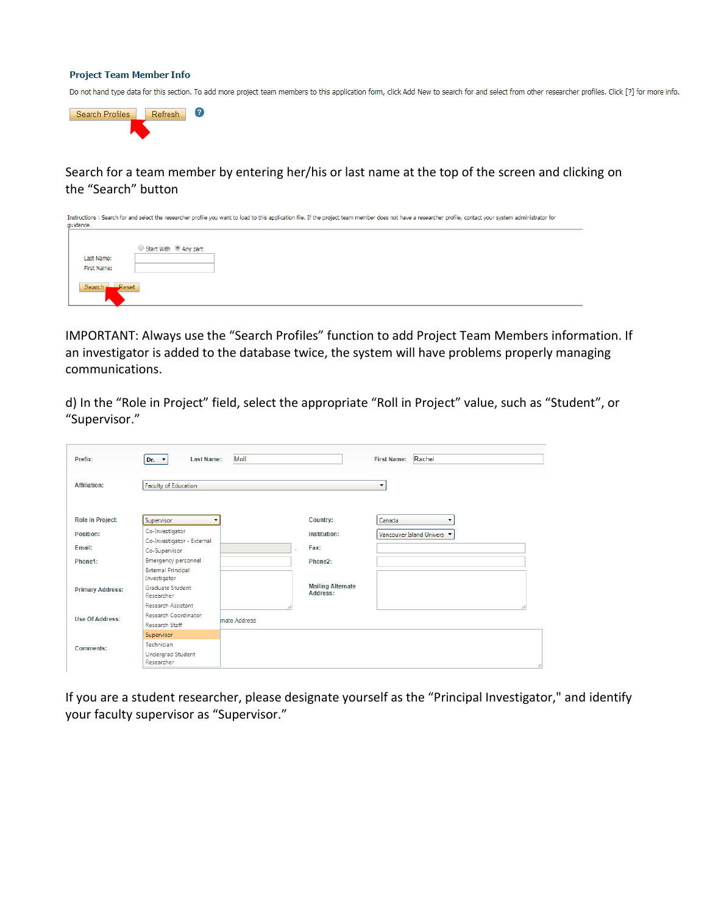#### **Project Team Member Info**

Do not hand type data for this section. To add more project team members to this application form, click Add New to search for and select from other researcher profiles. Click [?] for more info.



Search for a team member by entering her/his or last name at the top of the screen and clicking on the "Search" button

| quidance.<br>Last Name: | Start With <sup>1</sup> Any part |  |  |  |
|-------------------------|----------------------------------|--|--|--|
|                         |                                  |  |  |  |
|                         |                                  |  |  |  |
|                         |                                  |  |  |  |
|                         |                                  |  |  |  |
| First Name:             |                                  |  |  |  |
|                         |                                  |  |  |  |
| Reset<br>Search.        |                                  |  |  |  |
|                         |                                  |  |  |  |
|                         |                                  |  |  |  |

IMPORTANT: Always use the "Search Profiles" function to add Project Team Members information. If an investigator is added to the database twice, the system will have problems properly managing communications.

d) In the "Role in Project" field, select the appropriate "Roll in Project" value, such as "Student", or "Supervisor."

| Prefix:                 | <b>Last Name:</b>                           | Moll         |                                      | Rachel<br><b>First Name:</b> |
|-------------------------|---------------------------------------------|--------------|--------------------------------------|------------------------------|
| Affiliation:            | Faculty of Education                        |              |                                      | ۰                            |
| <b>Role In Project:</b> | Supervisor                                  |              | Country:                             | Canada                       |
| Position:               | Co-Investigator                             |              | Institution:                         | Vancouver Island Univers     |
| Email:                  | Co-Investigator - External<br>Co-Supervisor |              | Fax:                                 |                              |
| Phone1:                 | Emergency personnel                         |              | Phone2:                              |                              |
|                         | <b>External Principal</b><br>Investigator   |              |                                      |                              |
| <b>Primary Address:</b> | <b>Graduate Student</b><br>Researcher       |              | <b>Mailing Alternate</b><br>Address: |                              |
|                         | <b>Research Assistant</b>                   |              |                                      |                              |
| <b>Use Of Address:</b>  | <b>Research Coordinator</b>                 | mate Address |                                      |                              |
|                         | <b>Research Staff</b>                       |              |                                      |                              |
|                         | Supervisor                                  |              |                                      |                              |
| <b>Comments:</b>        | Technician                                  |              |                                      |                              |
|                         | <b>Undergrad Student</b><br>Researcher      |              |                                      |                              |

If you are a student researcher, please designate yourself as the "Principal Investigator," and identify your faculty supervisor as "Supervisor."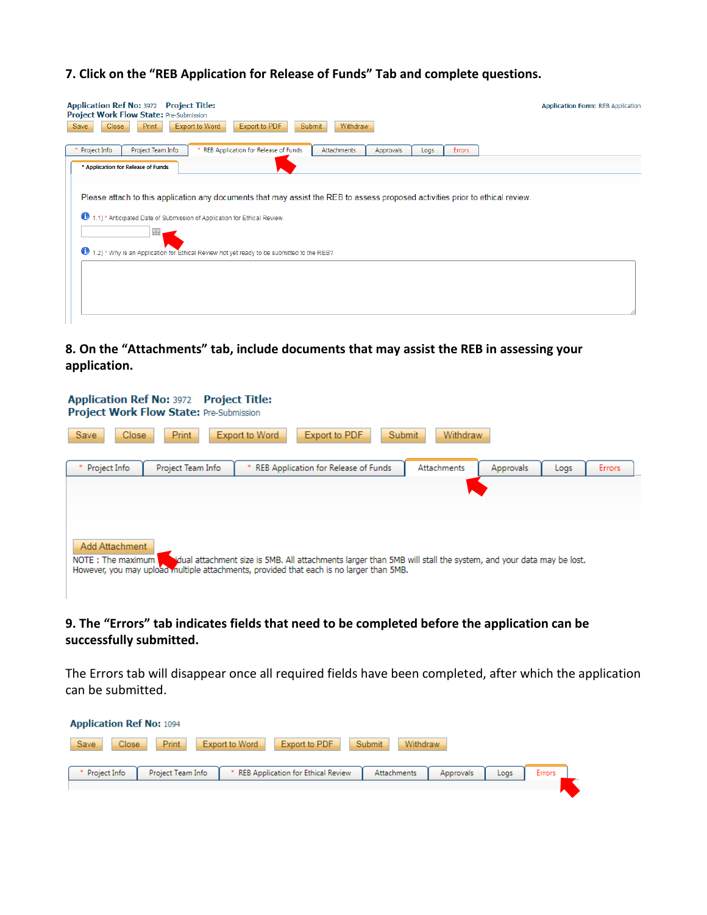## **7. Click on the "REB Application for Release of Funds" Tab and complete questions.**

| <b>Application Ref No: 3972 Project Title:</b><br>Project Work Flow State: Pre-Submission<br><b>Export to Word</b><br>Close<br>Print<br>Export to PDF<br>Submit<br>Withdraw<br>Save                                                                                                                              | <b>Application Form: REB Application</b> |
|------------------------------------------------------------------------------------------------------------------------------------------------------------------------------------------------------------------------------------------------------------------------------------------------------------------|------------------------------------------|
| Project Info<br>Project Team Info<br>* REB Application for Release of Funds<br><b>Attachments</b><br>Approvals<br>Errors<br>Logs                                                                                                                                                                                 |                                          |
| * Application for Release of Funds                                                                                                                                                                                                                                                                               |                                          |
| Please attach to this application any documents that may assist the REB to assess proposed activities prior to ethical review.<br>Φ<br>1.1) * Anticipated Date of Submission of Application for Ethical Review<br>圃<br>1.2) * Why is an Application for Ethical Review not yet ready to be submitted to the REB? |                                          |
|                                                                                                                                                                                                                                                                                                                  |                                          |

**8. On the "Attachments" tab, include documents that may assist the REB in assessing your application.** 

| <b>Application Ref No: 3972 Project Title:</b><br>Project Work Flow State: Pre-Submission                                                                                                                                                          |  |
|----------------------------------------------------------------------------------------------------------------------------------------------------------------------------------------------------------------------------------------------------|--|
| Export to PDF<br><b>Print</b><br>Export to Word<br><b>Withdraw</b><br><b>Save</b><br><b>Close</b><br>Submit                                                                                                                                        |  |
| Project Info<br>Project Team Info<br>REB Application for Release of Funds<br>Attachments<br>Approvals<br>Errors<br>Logs                                                                                                                            |  |
| Add Attachment<br>sidual attachment size is 5MB. All attachments larger than 5MB will stall the system, and your data may be lost.<br>NOTE: The maximum<br>However, you may upload multiple attachments, provided that each is no larger than 5MB. |  |

# **9. The "Errors" tab indicates fields that need to be completed before the application can be successfully submitted.**

The Errors tab will disappear once all required fields have been completed, after which the application can be submitted.

| Save<br>Print<br>Export to PDF<br>Submit<br>Close<br>Export to Word<br>Withdraw                                                |
|--------------------------------------------------------------------------------------------------------------------------------|
|                                                                                                                                |
|                                                                                                                                |
| * Project Info<br>Project Team Info<br>REB Application for Ethical Review<br>Attachments<br>Approvals<br><b>Errors</b><br>Logs |
|                                                                                                                                |